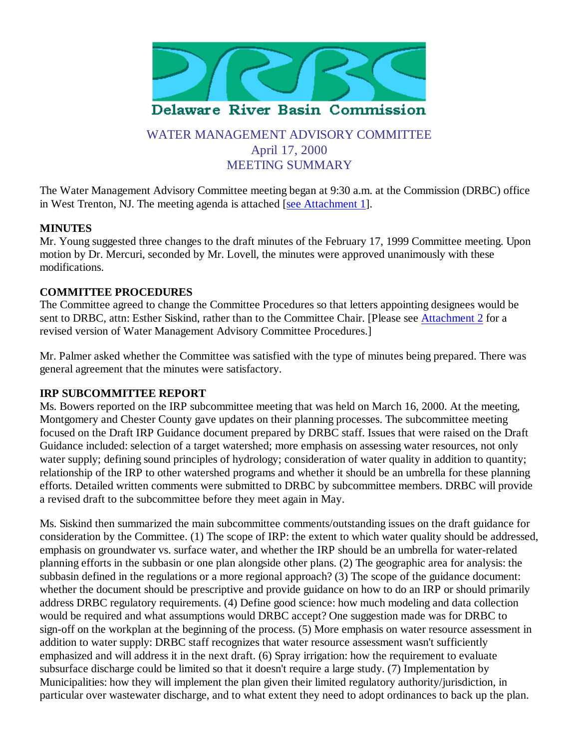

# WATER MANAGEMENT ADVISORY COMMITTEE April 17, 2000 MEETING SUMMARY

The Water Management Advisory Committee meeting began at 9:30 a.m. at the Commission (DRBC) office in West Trenton, NJ. The meeting agenda is attached [see Attachment 1].

## **MINUTES**

Mr. Young suggested three changes to the draft minutes of the February 17, 1999 Committee meeting. Upon motion by Dr. Mercuri, seconded by Mr. Lovell, the minutes were approved unanimously with these modifications.

### **COMMITTEE PROCEDURES**

The Committee agreed to change the Committee Procedures so that letters appointing designees would be sent to DRBC, attn: Esther Siskind, rather than to the Committee Chair. [Please see Attachment 2 for a revised version of Water Management Advisory Committee Procedures.]

Mr. Palmer asked whether the Committee was satisfied with the type of minutes being prepared. There was general agreement that the minutes were satisfactory.

#### **IRP SUBCOMMITTEE REPORT**

Ms. Bowers reported on the IRP subcommittee meeting that was held on March 16, 2000. At the meeting, Montgomery and Chester County gave updates on their planning processes. The subcommittee meeting focused on the Draft IRP Guidance document prepared by DRBC staff. Issues that were raised on the Draft Guidance included: selection of a target watershed; more emphasis on assessing water resources, not only water supply; defining sound principles of hydrology; consideration of water quality in addition to quantity; relationship of the IRP to other watershed programs and whether it should be an umbrella for these planning efforts. Detailed written comments were submitted to DRBC by subcommittee members. DRBC will provide a revised draft to the subcommittee before they meet again in May.

Ms. Siskind then summarized the main subcommittee comments/outstanding issues on the draft guidance for consideration by the Committee. (1) The scope of IRP: the extent to which water quality should be addressed, emphasis on groundwater vs. surface water, and whether the IRP should be an umbrella for water-related planning efforts in the subbasin or one plan alongside other plans. (2) The geographic area for analysis: the subbasin defined in the regulations or a more regional approach? (3) The scope of the guidance document: whether the document should be prescriptive and provide guidance on how to do an IRP or should primarily address DRBC regulatory requirements. (4) Define good science: how much modeling and data collection would be required and what assumptions would DRBC accept? One suggestion made was for DRBC to sign-off on the workplan at the beginning of the process. (5) More emphasis on water resource assessment in addition to water supply: DRBC staff recognizes that water resource assessment wasn't sufficiently emphasized and will address it in the next draft. (6) Spray irrigation: how the requirement to evaluate subsurface discharge could be limited so that it doesn't require a large study. (7) Implementation by Municipalities: how they will implement the plan given their limited regulatory authority/jurisdiction, in particular over wastewater discharge, and to what extent they need to adopt ordinances to back up the plan.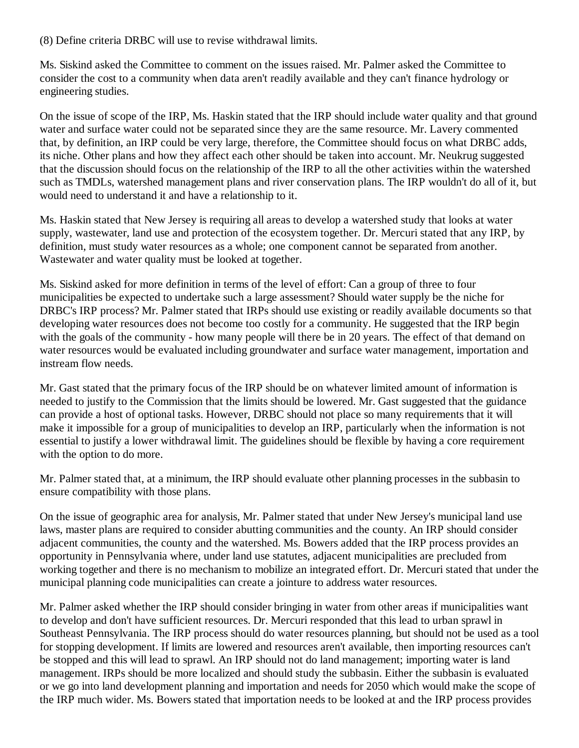(8) Define criteria DRBC will use to revise withdrawal limits.

Ms. Siskind asked the Committee to comment on the issues raised. Mr. Palmer asked the Committee to consider the cost to a community when data aren't readily available and they can't finance hydrology or engineering studies.

On the issue of scope of the IRP, Ms. Haskin stated that the IRP should include water quality and that ground water and surface water could not be separated since they are the same resource. Mr. Lavery commented that, by definition, an IRP could be very large, therefore, the Committee should focus on what DRBC adds, its niche. Other plans and how they affect each other should be taken into account. Mr. Neukrug suggested that the discussion should focus on the relationship of the IRP to all the other activities within the watershed such as TMDLs, watershed management plans and river conservation plans. The IRP wouldn't do all of it, but would need to understand it and have a relationship to it.

Ms. Haskin stated that New Jersey is requiring all areas to develop a watershed study that looks at water supply, wastewater, land use and protection of the ecosystem together. Dr. Mercuri stated that any IRP, by definition, must study water resources as a whole; one component cannot be separated from another. Wastewater and water quality must be looked at together.

Ms. Siskind asked for more definition in terms of the level of effort: Can a group of three to four municipalities be expected to undertake such a large assessment? Should water supply be the niche for DRBC's IRP process? Mr. Palmer stated that IRPs should use existing or readily available documents so that developing water resources does not become too costly for a community. He suggested that the IRP begin with the goals of the community - how many people will there be in 20 years. The effect of that demand on water resources would be evaluated including groundwater and surface water management, importation and instream flow needs.

Mr. Gast stated that the primary focus of the IRP should be on whatever limited amount of information is needed to justify to the Commission that the limits should be lowered. Mr. Gast suggested that the guidance can provide a host of optional tasks. However, DRBC should not place so many requirements that it will make it impossible for a group of municipalities to develop an IRP, particularly when the information is not essential to justify a lower withdrawal limit. The guidelines should be flexible by having a core requirement with the option to do more.

Mr. Palmer stated that, at a minimum, the IRP should evaluate other planning processes in the subbasin to ensure compatibility with those plans.

On the issue of geographic area for analysis, Mr. Palmer stated that under New Jersey's municipal land use laws, master plans are required to consider abutting communities and the county. An IRP should consider adjacent communities, the county and the watershed. Ms. Bowers added that the IRP process provides an opportunity in Pennsylvania where, under land use statutes, adjacent municipalities are precluded from working together and there is no mechanism to mobilize an integrated effort. Dr. Mercuri stated that under the municipal planning code municipalities can create a jointure to address water resources.

Mr. Palmer asked whether the IRP should consider bringing in water from other areas if municipalities want to develop and don't have sufficient resources. Dr. Mercuri responded that this lead to urban sprawl in Southeast Pennsylvania. The IRP process should do water resources planning, but should not be used as a tool for stopping development. If limits are lowered and resources aren't available, then importing resources can't be stopped and this will lead to sprawl. An IRP should not do land management; importing water is land management. IRPs should be more localized and should study the subbasin. Either the subbasin is evaluated or we go into land development planning and importation and needs for 2050 which would make the scope of the IRP much wider. Ms. Bowers stated that importation needs to be looked at and the IRP process provides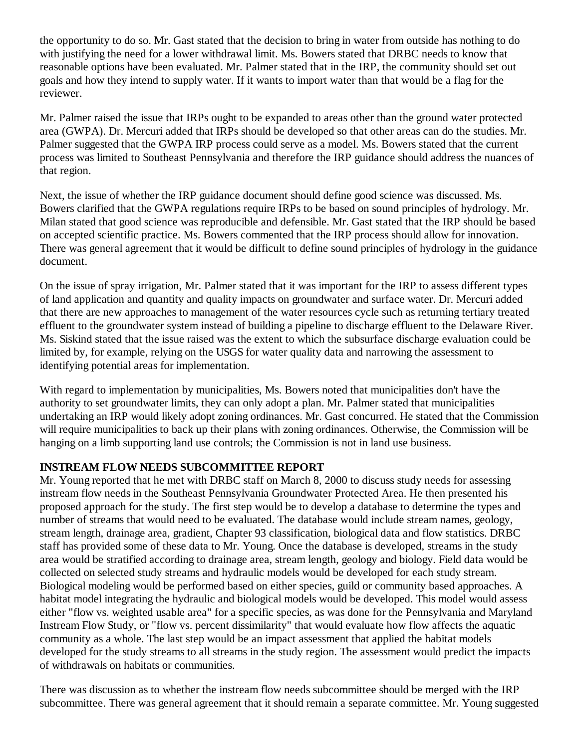the opportunity to do so. Mr. Gast stated that the decision to bring in water from outside has nothing to do with justifying the need for a lower withdrawal limit. Ms. Bowers stated that DRBC needs to know that reasonable options have been evaluated. Mr. Palmer stated that in the IRP, the community should set out goals and how they intend to supply water. If it wants to import water than that would be a flag for the reviewer.

Mr. Palmer raised the issue that IRPs ought to be expanded to areas other than the ground water protected area (GWPA). Dr. Mercuri added that IRPs should be developed so that other areas can do the studies. Mr. Palmer suggested that the GWPA IRP process could serve as a model. Ms. Bowers stated that the current process was limited to Southeast Pennsylvania and therefore the IRP guidance should address the nuances of that region.

Next, the issue of whether the IRP guidance document should define good science was discussed. Ms. Bowers clarified that the GWPA regulations require IRPs to be based on sound principles of hydrology. Mr. Milan stated that good science was reproducible and defensible. Mr. Gast stated that the IRP should be based on accepted scientific practice. Ms. Bowers commented that the IRP process should allow for innovation. There was general agreement that it would be difficult to define sound principles of hydrology in the guidance document.

On the issue of spray irrigation, Mr. Palmer stated that it was important for the IRP to assess different types of land application and quantity and quality impacts on groundwater and surface water. Dr. Mercuri added that there are new approaches to management of the water resources cycle such as returning tertiary treated effluent to the groundwater system instead of building a pipeline to discharge effluent to the Delaware River. Ms. Siskind stated that the issue raised was the extent to which the subsurface discharge evaluation could be limited by, for example, relying on the USGS for water quality data and narrowing the assessment to identifying potential areas for implementation.

With regard to implementation by municipalities, Ms. Bowers noted that municipalities don't have the authority to set groundwater limits, they can only adopt a plan. Mr. Palmer stated that municipalities undertaking an IRP would likely adopt zoning ordinances. Mr. Gast concurred. He stated that the Commission will require municipalities to back up their plans with zoning ordinances. Otherwise, the Commission will be hanging on a limb supporting land use controls; the Commission is not in land use business.

## **INSTREAM FLOW NEEDS SUBCOMMITTEE REPORT**

Mr. Young reported that he met with DRBC staff on March 8, 2000 to discuss study needs for assessing instream flow needs in the Southeast Pennsylvania Groundwater Protected Area. He then presented his proposed approach for the study. The first step would be to develop a database to determine the types and number of streams that would need to be evaluated. The database would include stream names, geology, stream length, drainage area, gradient, Chapter 93 classification, biological data and flow statistics. DRBC staff has provided some of these data to Mr. Young. Once the database is developed, streams in the study area would be stratified according to drainage area, stream length, geology and biology. Field data would be collected on selected study streams and hydraulic models would be developed for each study stream. Biological modeling would be performed based on either species, guild or community based approaches. A habitat model integrating the hydraulic and biological models would be developed. This model would assess either "flow vs. weighted usable area" for a specific species, as was done for the Pennsylvania and Maryland Instream Flow Study, or "flow vs. percent dissimilarity" that would evaluate how flow affects the aquatic community as a whole. The last step would be an impact assessment that applied the habitat models developed for the study streams to all streams in the study region. The assessment would predict the impacts of withdrawals on habitats or communities.

There was discussion as to whether the instream flow needs subcommittee should be merged with the IRP subcommittee. There was general agreement that it should remain a separate committee. Mr. Young suggested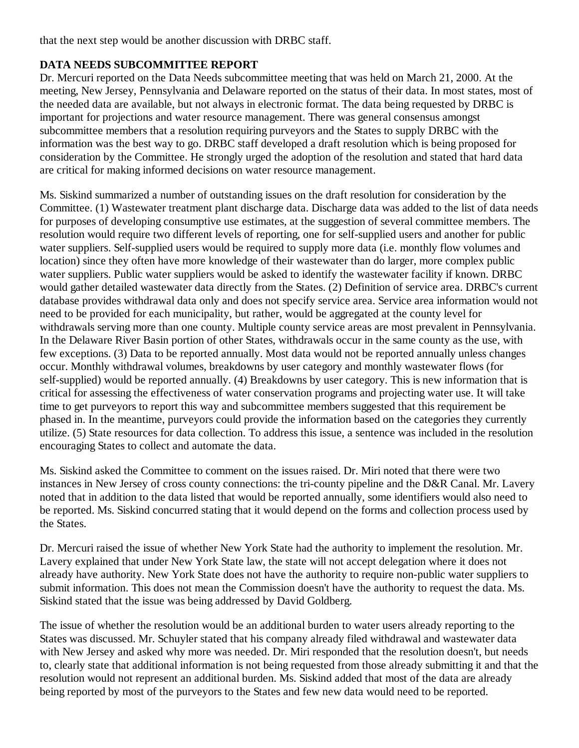that the next step would be another discussion with DRBC staff.

## **DATA NEEDS SUBCOMMITTEE REPORT**

Dr. Mercuri reported on the Data Needs subcommittee meeting that was held on March 21, 2000. At the meeting, New Jersey, Pennsylvania and Delaware reported on the status of their data. In most states, most of the needed data are available, but not always in electronic format. The data being requested by DRBC is important for projections and water resource management. There was general consensus amongst subcommittee members that a resolution requiring purveyors and the States to supply DRBC with the information was the best way to go. DRBC staff developed a draft resolution which is being proposed for consideration by the Committee. He strongly urged the adoption of the resolution and stated that hard data are critical for making informed decisions on water resource management.

Ms. Siskind summarized a number of outstanding issues on the draft resolution for consideration by the Committee. (1) Wastewater treatment plant discharge data. Discharge data was added to the list of data needs for purposes of developing consumptive use estimates, at the suggestion of several committee members. The resolution would require two different levels of reporting, one for self-supplied users and another for public water suppliers. Self-supplied users would be required to supply more data (i.e. monthly flow volumes and location) since they often have more knowledge of their wastewater than do larger, more complex public water suppliers. Public water suppliers would be asked to identify the wastewater facility if known. DRBC would gather detailed wastewater data directly from the States. (2) Definition of service area. DRBC's current database provides withdrawal data only and does not specify service area. Service area information would not need to be provided for each municipality, but rather, would be aggregated at the county level for withdrawals serving more than one county. Multiple county service areas are most prevalent in Pennsylvania. In the Delaware River Basin portion of other States, withdrawals occur in the same county as the use, with few exceptions. (3) Data to be reported annually. Most data would not be reported annually unless changes occur. Monthly withdrawal volumes, breakdowns by user category and monthly wastewater flows (for self-supplied) would be reported annually. (4) Breakdowns by user category. This is new information that is critical for assessing the effectiveness of water conservation programs and projecting water use. It will take time to get purveyors to report this way and subcommittee members suggested that this requirement be phased in. In the meantime, purveyors could provide the information based on the categories they currently utilize. (5) State resources for data collection. To address this issue, a sentence was included in the resolution encouraging States to collect and automate the data.

Ms. Siskind asked the Committee to comment on the issues raised. Dr. Miri noted that there were two instances in New Jersey of cross county connections: the tri-county pipeline and the D&R Canal. Mr. Lavery noted that in addition to the data listed that would be reported annually, some identifiers would also need to be reported. Ms. Siskind concurred stating that it would depend on the forms and collection process used by the States.

Dr. Mercuri raised the issue of whether New York State had the authority to implement the resolution. Mr. Lavery explained that under New York State law, the state will not accept delegation where it does not already have authority. New York State does not have the authority to require non-public water suppliers to submit information. This does not mean the Commission doesn't have the authority to request the data. Ms. Siskind stated that the issue was being addressed by David Goldberg.

The issue of whether the resolution would be an additional burden to water users already reporting to the States was discussed. Mr. Schuyler stated that his company already filed withdrawal and wastewater data with New Jersey and asked why more was needed. Dr. Miri responded that the resolution doesn't, but needs to, clearly state that additional information is not being requested from those already submitting it and that the resolution would not represent an additional burden. Ms. Siskind added that most of the data are already being reported by most of the purveyors to the States and few new data would need to be reported.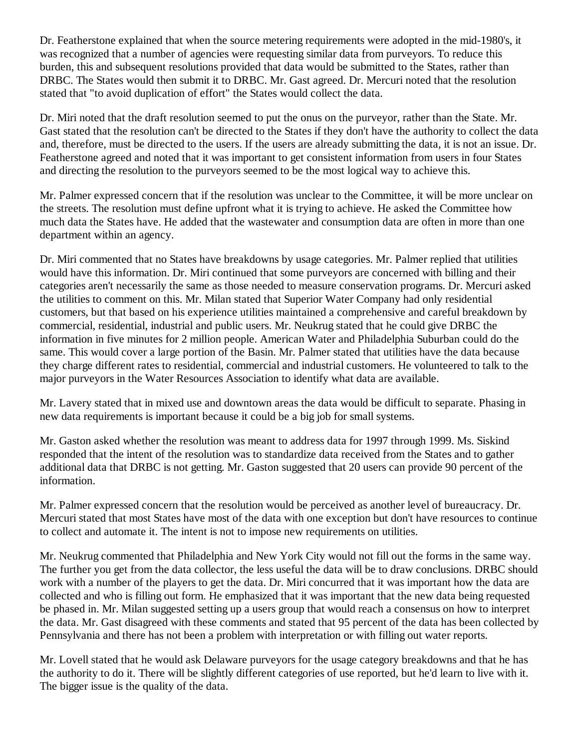Dr. Featherstone explained that when the source metering requirements were adopted in the mid-1980's, it was recognized that a number of agencies were requesting similar data from purveyors. To reduce this burden, this and subsequent resolutions provided that data would be submitted to the States, rather than DRBC. The States would then submit it to DRBC. Mr. Gast agreed. Dr. Mercuri noted that the resolution stated that "to avoid duplication of effort" the States would collect the data.

Dr. Miri noted that the draft resolution seemed to put the onus on the purveyor, rather than the State. Mr. Gast stated that the resolution can't be directed to the States if they don't have the authority to collect the data and, therefore, must be directed to the users. If the users are already submitting the data, it is not an issue. Dr. Featherstone agreed and noted that it was important to get consistent information from users in four States and directing the resolution to the purveyors seemed to be the most logical way to achieve this.

Mr. Palmer expressed concern that if the resolution was unclear to the Committee, it will be more unclear on the streets. The resolution must define upfront what it is trying to achieve. He asked the Committee how much data the States have. He added that the wastewater and consumption data are often in more than one department within an agency.

Dr. Miri commented that no States have breakdowns by usage categories. Mr. Palmer replied that utilities would have this information. Dr. Miri continued that some purveyors are concerned with billing and their categories aren't necessarily the same as those needed to measure conservation programs. Dr. Mercuri asked the utilities to comment on this. Mr. Milan stated that Superior Water Company had only residential customers, but that based on his experience utilities maintained a comprehensive and careful breakdown by commercial, residential, industrial and public users. Mr. Neukrug stated that he could give DRBC the information in five minutes for 2 million people. American Water and Philadelphia Suburban could do the same. This would cover a large portion of the Basin. Mr. Palmer stated that utilities have the data because they charge different rates to residential, commercial and industrial customers. He volunteered to talk to the major purveyors in the Water Resources Association to identify what data are available.

Mr. Lavery stated that in mixed use and downtown areas the data would be difficult to separate. Phasing in new data requirements is important because it could be a big job for small systems.

Mr. Gaston asked whether the resolution was meant to address data for 1997 through 1999. Ms. Siskind responded that the intent of the resolution was to standardize data received from the States and to gather additional data that DRBC is not getting. Mr. Gaston suggested that 20 users can provide 90 percent of the information.

Mr. Palmer expressed concern that the resolution would be perceived as another level of bureaucracy. Dr. Mercuri stated that most States have most of the data with one exception but don't have resources to continue to collect and automate it. The intent is not to impose new requirements on utilities.

Mr. Neukrug commented that Philadelphia and New York City would not fill out the forms in the same way. The further you get from the data collector, the less useful the data will be to draw conclusions. DRBC should work with a number of the players to get the data. Dr. Miri concurred that it was important how the data are collected and who is filling out form. He emphasized that it was important that the new data being requested be phased in. Mr. Milan suggested setting up a users group that would reach a consensus on how to interpret the data. Mr. Gast disagreed with these comments and stated that 95 percent of the data has been collected by Pennsylvania and there has not been a problem with interpretation or with filling out water reports.

Mr. Lovell stated that he would ask Delaware purveyors for the usage category breakdowns and that he has the authority to do it. There will be slightly different categories of use reported, but he'd learn to live with it. The bigger issue is the quality of the data.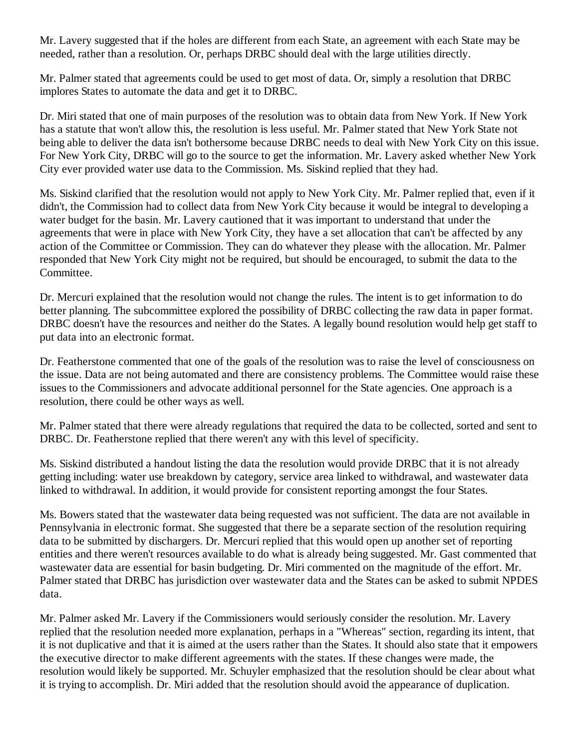Mr. Lavery suggested that if the holes are different from each State, an agreement with each State may be needed, rather than a resolution. Or, perhaps DRBC should deal with the large utilities directly.

Mr. Palmer stated that agreements could be used to get most of data. Or, simply a resolution that DRBC implores States to automate the data and get it to DRBC.

Dr. Miri stated that one of main purposes of the resolution was to obtain data from New York. If New York has a statute that won't allow this, the resolution is less useful. Mr. Palmer stated that New York State not being able to deliver the data isn't bothersome because DRBC needs to deal with New York City on this issue. For New York City, DRBC will go to the source to get the information. Mr. Lavery asked whether New York City ever provided water use data to the Commission. Ms. Siskind replied that they had.

Ms. Siskind clarified that the resolution would not apply to New York City. Mr. Palmer replied that, even if it didn't, the Commission had to collect data from New York City because it would be integral to developing a water budget for the basin. Mr. Lavery cautioned that it was important to understand that under the agreements that were in place with New York City, they have a set allocation that can't be affected by any action of the Committee or Commission. They can do whatever they please with the allocation. Mr. Palmer responded that New York City might not be required, but should be encouraged, to submit the data to the Committee.

Dr. Mercuri explained that the resolution would not change the rules. The intent is to get information to do better planning. The subcommittee explored the possibility of DRBC collecting the raw data in paper format. DRBC doesn't have the resources and neither do the States. A legally bound resolution would help get staff to put data into an electronic format.

Dr. Featherstone commented that one of the goals of the resolution was to raise the level of consciousness on the issue. Data are not being automated and there are consistency problems. The Committee would raise these issues to the Commissioners and advocate additional personnel for the State agencies. One approach is a resolution, there could be other ways as well.

Mr. Palmer stated that there were already regulations that required the data to be collected, sorted and sent to DRBC. Dr. Featherstone replied that there weren't any with this level of specificity.

Ms. Siskind distributed a handout listing the data the resolution would provide DRBC that it is not already getting including: water use breakdown by category, service area linked to withdrawal, and wastewater data linked to withdrawal. In addition, it would provide for consistent reporting amongst the four States.

Ms. Bowers stated that the wastewater data being requested was not sufficient. The data are not available in Pennsylvania in electronic format. She suggested that there be a separate section of the resolution requiring data to be submitted by dischargers. Dr. Mercuri replied that this would open up another set of reporting entities and there weren't resources available to do what is already being suggested. Mr. Gast commented that wastewater data are essential for basin budgeting. Dr. Miri commented on the magnitude of the effort. Mr. Palmer stated that DRBC has jurisdiction over wastewater data and the States can be asked to submit NPDES data.

Mr. Palmer asked Mr. Lavery if the Commissioners would seriously consider the resolution. Mr. Lavery replied that the resolution needed more explanation, perhaps in a "Whereas" section, regarding its intent, that it is not duplicative and that it is aimed at the users rather than the States. It should also state that it empowers the executive director to make different agreements with the states. If these changes were made, the resolution would likely be supported. Mr. Schuyler emphasized that the resolution should be clear about what it is trying to accomplish. Dr. Miri added that the resolution should avoid the appearance of duplication.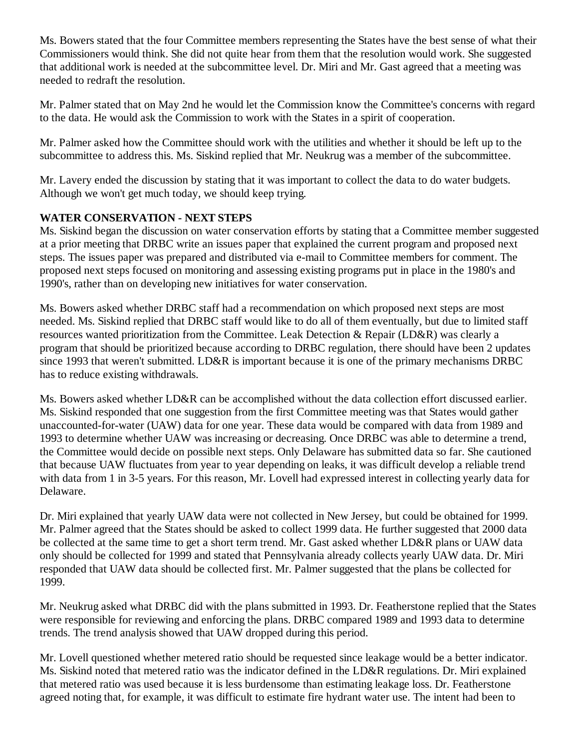Ms. Bowers stated that the four Committee members representing the States have the best sense of what their Commissioners would think. She did not quite hear from them that the resolution would work. She suggested that additional work is needed at the subcommittee level. Dr. Miri and Mr. Gast agreed that a meeting was needed to redraft the resolution.

Mr. Palmer stated that on May 2nd he would let the Commission know the Committee's concerns with regard to the data. He would ask the Commission to work with the States in a spirit of cooperation.

Mr. Palmer asked how the Committee should work with the utilities and whether it should be left up to the subcommittee to address this. Ms. Siskind replied that Mr. Neukrug was a member of the subcommittee.

Mr. Lavery ended the discussion by stating that it was important to collect the data to do water budgets. Although we won't get much today, we should keep trying.

## **WATER CONSERVATION - NEXT STEPS**

Ms. Siskind began the discussion on water conservation efforts by stating that a Committee member suggested at a prior meeting that DRBC write an issues paper that explained the current program and proposed next steps. The issues paper was prepared and distributed via e-mail to Committee members for comment. The proposed next steps focused on monitoring and assessing existing programs put in place in the 1980's and 1990's, rather than on developing new initiatives for water conservation.

Ms. Bowers asked whether DRBC staff had a recommendation on which proposed next steps are most needed. Ms. Siskind replied that DRBC staff would like to do all of them eventually, but due to limited staff resources wanted prioritization from the Committee. Leak Detection & Repair (LD&R) was clearly a program that should be prioritized because according to DRBC regulation, there should have been 2 updates since 1993 that weren't submitted. LD&R is important because it is one of the primary mechanisms DRBC has to reduce existing withdrawals.

Ms. Bowers asked whether LD&R can be accomplished without the data collection effort discussed earlier. Ms. Siskind responded that one suggestion from the first Committee meeting was that States would gather unaccounted-for-water (UAW) data for one year. These data would be compared with data from 1989 and 1993 to determine whether UAW was increasing or decreasing. Once DRBC was able to determine a trend, the Committee would decide on possible next steps. Only Delaware has submitted data so far. She cautioned that because UAW fluctuates from year to year depending on leaks, it was difficult develop a reliable trend with data from 1 in 3-5 years. For this reason, Mr. Lovell had expressed interest in collecting yearly data for Delaware.

Dr. Miri explained that yearly UAW data were not collected in New Jersey, but could be obtained for 1999. Mr. Palmer agreed that the States should be asked to collect 1999 data. He further suggested that 2000 data be collected at the same time to get a short term trend. Mr. Gast asked whether LD&R plans or UAW data only should be collected for 1999 and stated that Pennsylvania already collects yearly UAW data. Dr. Miri responded that UAW data should be collected first. Mr. Palmer suggested that the plans be collected for 1999.

Mr. Neukrug asked what DRBC did with the plans submitted in 1993. Dr. Featherstone replied that the States were responsible for reviewing and enforcing the plans. DRBC compared 1989 and 1993 data to determine trends. The trend analysis showed that UAW dropped during this period.

Mr. Lovell questioned whether metered ratio should be requested since leakage would be a better indicator. Ms. Siskind noted that metered ratio was the indicator defined in the LD&R regulations. Dr. Miri explained that metered ratio was used because it is less burdensome than estimating leakage loss. Dr. Featherstone agreed noting that, for example, it was difficult to estimate fire hydrant water use. The intent had been to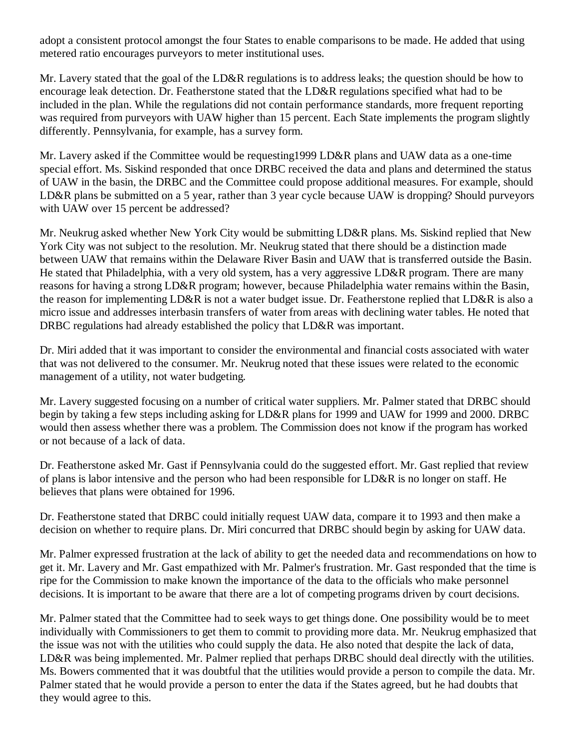adopt a consistent protocol amongst the four States to enable comparisons to be made. He added that using metered ratio encourages purveyors to meter institutional uses.

Mr. Lavery stated that the goal of the LD&R regulations is to address leaks; the question should be how to encourage leak detection. Dr. Featherstone stated that the LD&R regulations specified what had to be included in the plan. While the regulations did not contain performance standards, more frequent reporting was required from purveyors with UAW higher than 15 percent. Each State implements the program slightly differently. Pennsylvania, for example, has a survey form.

Mr. Lavery asked if the Committee would be requesting1999 LD&R plans and UAW data as a one-time special effort. Ms. Siskind responded that once DRBC received the data and plans and determined the status of UAW in the basin, the DRBC and the Committee could propose additional measures. For example, should LD&R plans be submitted on a 5 year, rather than 3 year cycle because UAW is dropping? Should purveyors with UAW over 15 percent be addressed?

Mr. Neukrug asked whether New York City would be submitting LD&R plans. Ms. Siskind replied that New York City was not subject to the resolution. Mr. Neukrug stated that there should be a distinction made between UAW that remains within the Delaware River Basin and UAW that is transferred outside the Basin. He stated that Philadelphia, with a very old system, has a very aggressive LD&R program. There are many reasons for having a strong LD&R program; however, because Philadelphia water remains within the Basin, the reason for implementing LD&R is not a water budget issue. Dr. Featherstone replied that LD&R is also a micro issue and addresses interbasin transfers of water from areas with declining water tables. He noted that DRBC regulations had already established the policy that LD&R was important.

Dr. Miri added that it was important to consider the environmental and financial costs associated with water that was not delivered to the consumer. Mr. Neukrug noted that these issues were related to the economic management of a utility, not water budgeting.

Mr. Lavery suggested focusing on a number of critical water suppliers. Mr. Palmer stated that DRBC should begin by taking a few steps including asking for LD&R plans for 1999 and UAW for 1999 and 2000. DRBC would then assess whether there was a problem. The Commission does not know if the program has worked or not because of a lack of data.

Dr. Featherstone asked Mr. Gast if Pennsylvania could do the suggested effort. Mr. Gast replied that review of plans is labor intensive and the person who had been responsible for LD&R is no longer on staff. He believes that plans were obtained for 1996.

Dr. Featherstone stated that DRBC could initially request UAW data, compare it to 1993 and then make a decision on whether to require plans. Dr. Miri concurred that DRBC should begin by asking for UAW data.

Mr. Palmer expressed frustration at the lack of ability to get the needed data and recommendations on how to get it. Mr. Lavery and Mr. Gast empathized with Mr. Palmer's frustration. Mr. Gast responded that the time is ripe for the Commission to make known the importance of the data to the officials who make personnel decisions. It is important to be aware that there are a lot of competing programs driven by court decisions.

Mr. Palmer stated that the Committee had to seek ways to get things done. One possibility would be to meet individually with Commissioners to get them to commit to providing more data. Mr. Neukrug emphasized that the issue was not with the utilities who could supply the data. He also noted that despite the lack of data, LD&R was being implemented. Mr. Palmer replied that perhaps DRBC should deal directly with the utilities. Ms. Bowers commented that it was doubtful that the utilities would provide a person to compile the data. Mr. Palmer stated that he would provide a person to enter the data if the States agreed, but he had doubts that they would agree to this.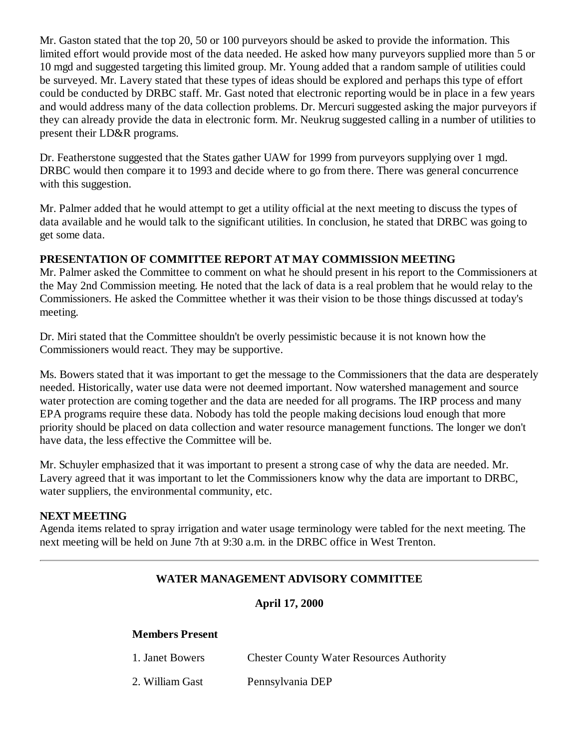Mr. Gaston stated that the top 20, 50 or 100 purveyors should be asked to provide the information. This limited effort would provide most of the data needed. He asked how many purveyors supplied more than 5 or 10 mgd and suggested targeting this limited group. Mr. Young added that a random sample of utilities could be surveyed. Mr. Lavery stated that these types of ideas should be explored and perhaps this type of effort could be conducted by DRBC staff. Mr. Gast noted that electronic reporting would be in place in a few years and would address many of the data collection problems. Dr. Mercuri suggested asking the major purveyors if they can already provide the data in electronic form. Mr. Neukrug suggested calling in a number of utilities to present their LD&R programs.

Dr. Featherstone suggested that the States gather UAW for 1999 from purveyors supplying over 1 mgd. DRBC would then compare it to 1993 and decide where to go from there. There was general concurrence with this suggestion.

Mr. Palmer added that he would attempt to get a utility official at the next meeting to discuss the types of data available and he would talk to the significant utilities. In conclusion, he stated that DRBC was going to get some data.

## **PRESENTATION OF COMMITTEE REPORT AT MAY COMMISSION MEETING**

Mr. Palmer asked the Committee to comment on what he should present in his report to the Commissioners at the May 2nd Commission meeting. He noted that the lack of data is a real problem that he would relay to the Commissioners. He asked the Committee whether it was their vision to be those things discussed at today's meeting.

Dr. Miri stated that the Committee shouldn't be overly pessimistic because it is not known how the Commissioners would react. They may be supportive.

Ms. Bowers stated that it was important to get the message to the Commissioners that the data are desperately needed. Historically, water use data were not deemed important. Now watershed management and source water protection are coming together and the data are needed for all programs. The IRP process and many EPA programs require these data. Nobody has told the people making decisions loud enough that more priority should be placed on data collection and water resource management functions. The longer we don't have data, the less effective the Committee will be.

Mr. Schuyler emphasized that it was important to present a strong case of why the data are needed. Mr. Lavery agreed that it was important to let the Commissioners know why the data are important to DRBC, water suppliers, the environmental community, etc.

## **NEXT MEETING**

Agenda items related to spray irrigation and water usage terminology were tabled for the next meeting. The next meeting will be held on June 7th at 9:30 a.m. in the DRBC office in West Trenton.

## **WATER MANAGEMENT ADVISORY COMMITTEE**

## **April 17, 2000**

## **Members Present**

| 1. Janet Bowers | <b>Chester County Water Resources Authority</b> |
|-----------------|-------------------------------------------------|
| 2. William Gast | Pennsylvania DEP                                |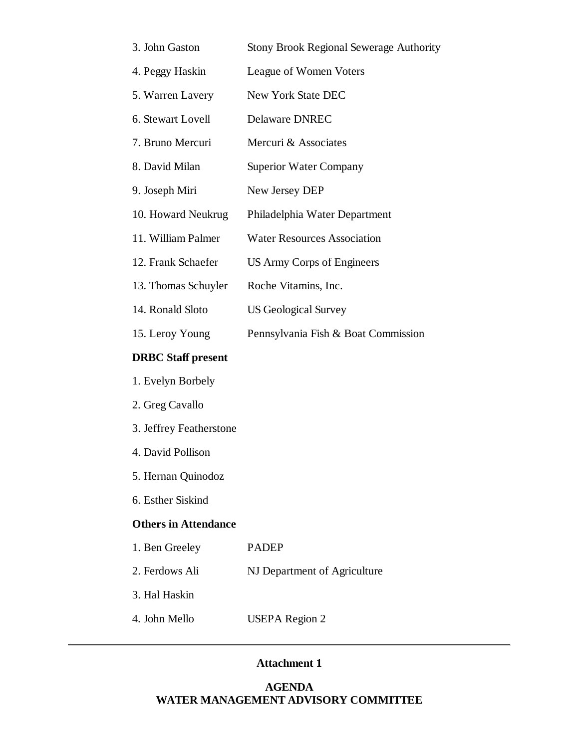| 3. John Gaston            | <b>Stony Brook Regional Sewerage Authority</b> |
|---------------------------|------------------------------------------------|
| 4. Peggy Haskin           | League of Women Voters                         |
| 5. Warren Lavery          | New York State DEC                             |
| 6. Stewart Lovell         | <b>Delaware DNREC</b>                          |
| 7. Bruno Mercuri          | Mercuri & Associates                           |
| 8. David Milan            | <b>Superior Water Company</b>                  |
| 9. Joseph Miri            | New Jersey DEP                                 |
| 10. Howard Neukrug        | Philadelphia Water Department                  |
| 11. William Palmer        | <b>Water Resources Association</b>             |
| 12. Frank Schaefer        | US Army Corps of Engineers                     |
| 13. Thomas Schuyler       | Roche Vitamins, Inc.                           |
| 14. Ronald Sloto          | <b>US Geological Survey</b>                    |
| 15. Leroy Young           | Pennsylvania Fish & Boat Commission            |
| <b>DRBC</b> Staff present |                                                |
| 1. Evelyn Borbely         |                                                |
| 2. Greg Cavallo           |                                                |

- 3. Jeffrey Featherstone
- 4. David Pollison
- 5. Hernan Quinodoz
- 6. Esther Siskind

#### **Others in Attendance**

| 1. Ben Greeley | <b>PADEP</b> |
|----------------|--------------|
|                |              |

- 2. Ferdows Ali NJ Department of Agriculture
- 3. Hal Haskin
- 4. John Mello USEPA Region 2

#### **Attachment 1**

## **AGENDA WATER MANAGEMENT ADVISORY COMMITTEE**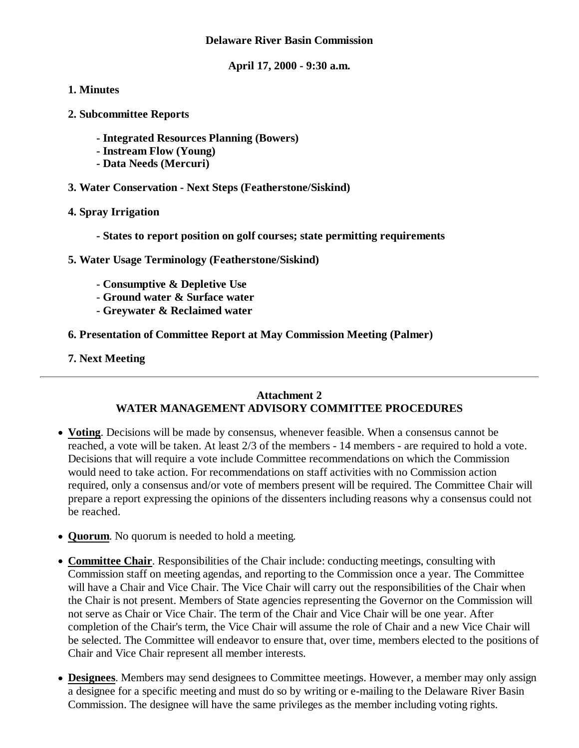#### **Delaware River Basin Commission**

**April 17, 2000 - 9:30 a.m.**

### **1. Minutes**

- **2. Subcommittee Reports**
	- **Integrated Resources Planning (Bowers)**
	- **Instream Flow (Young)**
	- **Data Needs (Mercuri)**
- **3. Water Conservation Next Steps (Featherstone/Siskind)**
- **4. Spray Irrigation**
	- **States to report position on golf courses; state permitting requirements**
- **5. Water Usage Terminology (Featherstone/Siskind)**
	- **Consumptive & Depletive Use**
	- **Ground water & Surface water**
	- **Greywater & Reclaimed water**
- **6. Presentation of Committee Report at May Commission Meeting (Palmer)**
- **7. Next Meeting**

### **Attachment 2 WATER MANAGEMENT ADVISORY COMMITTEE PROCEDURES**

- **Voting**. Decisions will be made by consensus, whenever feasible. When a consensus cannot be reached, a vote will be taken. At least 2/3 of the members - 14 members - are required to hold a vote. Decisions that will require a vote include Committee recommendations on which the Commission would need to take action. For recommendations on staff activities with no Commission action required, only a consensus and/or vote of members present will be required. The Committee Chair will prepare a report expressing the opinions of the dissenters including reasons why a consensus could not be reached.
- **Quorum**. No quorum is needed to hold a meeting.
- **Committee Chair**. Responsibilities of the Chair include: conducting meetings, consulting with Commission staff on meeting agendas, and reporting to the Commission once a year. The Committee will have a Chair and Vice Chair. The Vice Chair will carry out the responsibilities of the Chair when the Chair is not present. Members of State agencies representing the Governor on the Commission will not serve as Chair or Vice Chair. The term of the Chair and Vice Chair will be one year. After completion of the Chair's term, the Vice Chair will assume the role of Chair and a new Vice Chair will be selected. The Committee will endeavor to ensure that, over time, members elected to the positions of Chair and Vice Chair represent all member interests.
- **Designees**. Members may send designees to Committee meetings. However, a member may only assign a designee for a specific meeting and must do so by writing or e-mailing to the Delaware River Basin Commission. The designee will have the same privileges as the member including voting rights.